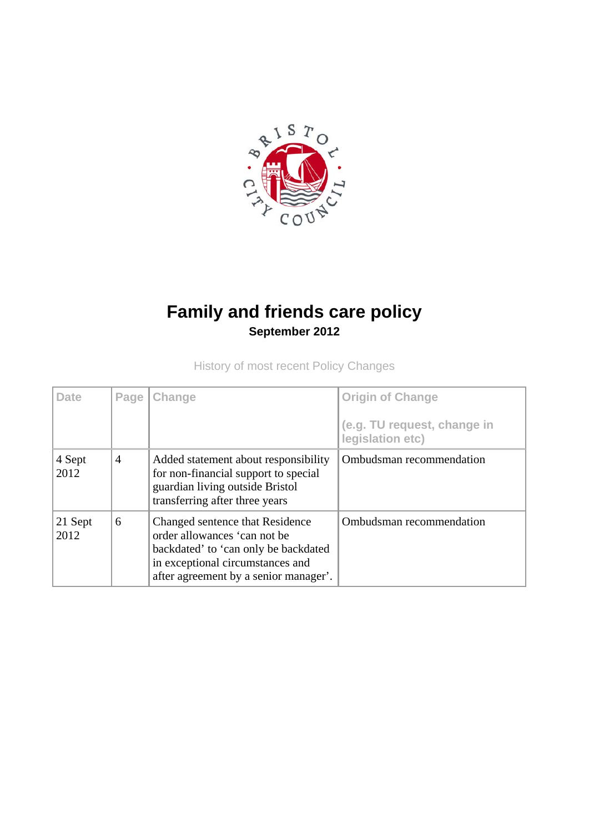

# **Family and friends care policy September 2012**

History of most recent Policy Changes

| <b>Date</b>     | Page           | Change                                                                                                                                                                               | <b>Origin of Change</b><br>(e.g. TU request, change in<br>legislation etc) |
|-----------------|----------------|--------------------------------------------------------------------------------------------------------------------------------------------------------------------------------------|----------------------------------------------------------------------------|
| 4 Sept<br>2012  | $\overline{4}$ | Added statement about responsibility<br>for non-financial support to special<br>guardian living outside Bristol<br>transferring after three years                                    | Ombudsman recommendation                                                   |
| 21 Sept<br>2012 | 6              | Changed sentence that Residence<br>order allowances 'can not be<br>backdated' to 'can only be backdated<br>in exceptional circumstances and<br>after agreement by a senior manager'. | Ombudsman recommendation                                                   |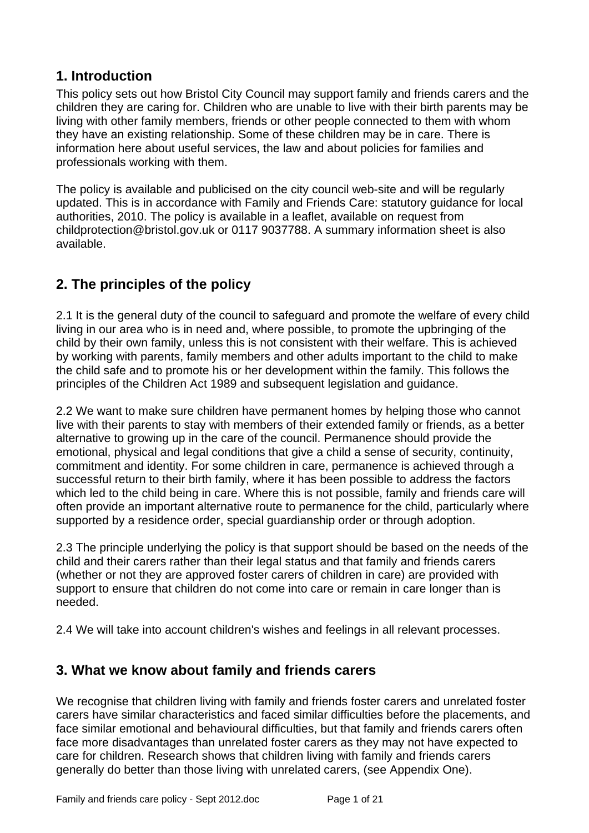### **1. Introduction**

This policy sets out how Bristol City Council may support family and friends carers and the children they are caring for. Children who are unable to live with their birth parents may be living with other family members, friends or other people connected to them with whom they have an existing relationship. Some of these children may be in care. There is information here about useful services, the law and about policies for families and professionals working with them.

The policy is available and publicised on the city council web-site and will be regularly updated. This is in accordance with Family and Friends Care: statutory guidance for local authorities, 2010. The policy is available in a leaflet, available on request from childprotection@bristol.gov.uk or 0117 9037788. A summary information sheet is also available.

## **2. The principles of the policy**

2.1 It is the general duty of the council to safeguard and promote the welfare of every child living in our area who is in need and, where possible, to promote the upbringing of the child by their own family, unless this is not consistent with their welfare. This is achieved by working with parents, family members and other adults important to the child to make the child safe and to promote his or her development within the family. This follows the principles of the Children Act 1989 and subsequent legislation and guidance.

2.2 We want to make sure children have permanent homes by helping those who cannot live with their parents to stay with members of their extended family or friends, as a better alternative to growing up in the care of the council. Permanence should provide the emotional, physical and legal conditions that give a child a sense of security, continuity, commitment and identity. For some children in care, permanence is achieved through a successful return to their birth family, where it has been possible to address the factors which led to the child being in care. Where this is not possible, family and friends care will often provide an important alternative route to permanence for the child, particularly where supported by a residence order, special guardianship order or through adoption.

2.3 The principle underlying the policy is that support should be based on the needs of the child and their carers rather than their legal status and that family and friends carers (whether or not they are approved foster carers of children in care) are provided with support to ensure that children do not come into care or remain in care longer than is needed.

2.4 We will take into account children's wishes and feelings in all relevant processes.

### **3. What we know about family and friends carers**

We recognise that children living with family and friends foster carers and unrelated foster carers have similar characteristics and faced similar difficulties before the placements, and face similar emotional and behavioural difficulties, but that family and friends carers often face more disadvantages than unrelated foster carers as they may not have expected to care for children. Research shows that children living with family and friends carers generally do better than those living with unrelated carers, (see Appendix One).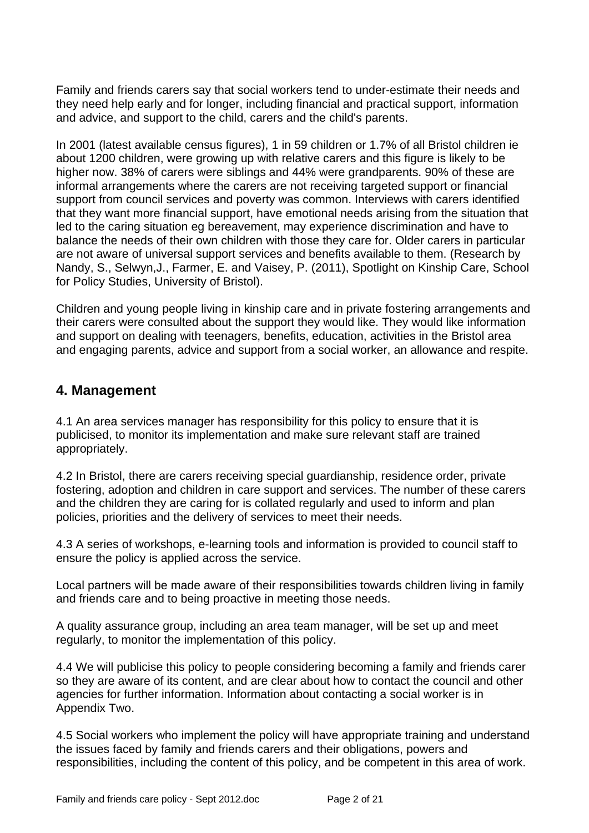Family and friends carers say that social workers tend to under-estimate their needs and they need help early and for longer, including financial and practical support, information and advice, and support to the child, carers and the child's parents.

In 2001 (latest available census figures), 1 in 59 children or 1.7% of all Bristol children ie about 1200 children, were growing up with relative carers and this figure is likely to be higher now. 38% of carers were siblings and 44% were grandparents. 90% of these are informal arrangements where the carers are not receiving targeted support or financial support from council services and poverty was common. Interviews with carers identified that they want more financial support, have emotional needs arising from the situation that led to the caring situation eg bereavement, may experience discrimination and have to balance the needs of their own children with those they care for. Older carers in particular are not aware of universal support services and benefits available to them. (Research by Nandy, S., Selwyn,J., Farmer, E. and Vaisey, P. (2011), Spotlight on Kinship Care, School for Policy Studies, University of Bristol).

Children and young people living in kinship care and in private fostering arrangements and their carers were consulted about the support they would like. They would like information and support on dealing with teenagers, benefits, education, activities in the Bristol area and engaging parents, advice and support from a social worker, an allowance and respite.

#### **4. Management**

4.1 An area services manager has responsibility for this policy to ensure that it is publicised, to monitor its implementation and make sure relevant staff are trained appropriately.

4.2 In Bristol, there are carers receiving special guardianship, residence order, private fostering, adoption and children in care support and services. The number of these carers and the children they are caring for is collated regularly and used to inform and plan policies, priorities and the delivery of services to meet their needs.

4.3 A series of workshops, e-learning tools and information is provided to council staff to ensure the policy is applied across the service.

Local partners will be made aware of their responsibilities towards children living in family and friends care and to being proactive in meeting those needs.

A quality assurance group, including an area team manager, will be set up and meet regularly, to monitor the implementation of this policy.

4.4 We will publicise this policy to people considering becoming a family and friends carer so they are aware of its content, and are clear about how to contact the council and other agencies for further information. Information about contacting a social worker is in Appendix Two.

4.5 Social workers who implement the policy will have appropriate training and understand the issues faced by family and friends carers and their obligations, powers and responsibilities, including the content of this policy, and be competent in this area of work.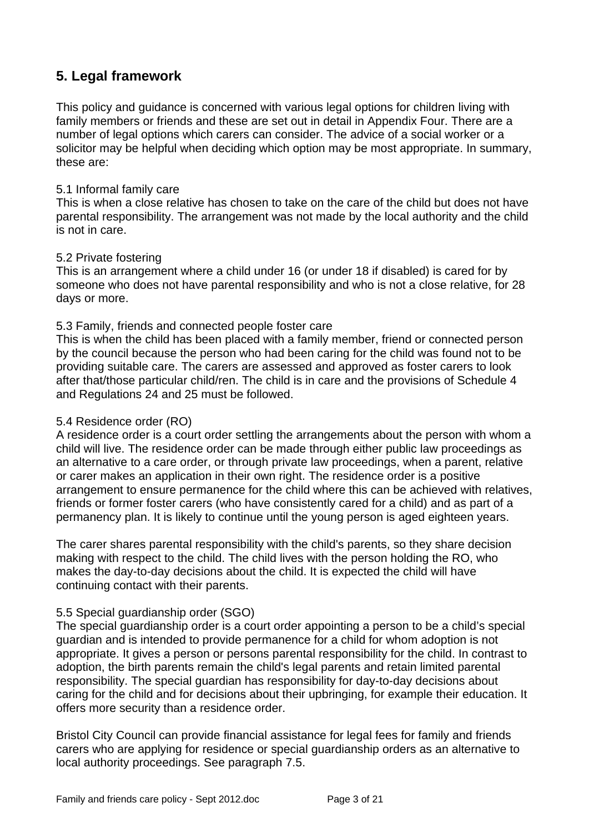### **5. Legal framework**

This policy and guidance is concerned with various legal options for children living with family members or friends and these are set out in detail in Appendix Four. There are a number of legal options which carers can consider. The advice of a social worker or a solicitor may be helpful when deciding which option may be most appropriate. In summary, these are:

#### 5.1 Informal family care

This is when a close relative has chosen to take on the care of the child but does not have parental responsibility. The arrangement was not made by the local authority and the child is not in care.

#### 5.2 Private fostering

This is an arrangement where a child under 16 (or under 18 if disabled) is cared for by someone who does not have parental responsibility and who is not a close relative, for 28 days or more.

#### 5.3 Family, friends and connected people foster care

This is when the child has been placed with a family member, friend or connected person by the council because the person who had been caring for the child was found not to be providing suitable care. The carers are assessed and approved as foster carers to look after that/those particular child/ren. The child is in care and the provisions of Schedule 4 and Regulations 24 and 25 must be followed.

#### 5.4 Residence order (RO)

A residence order is a court order settling the arrangements about the person with whom a child will live. The residence order can be made through either public law proceedings as an alternative to a care order, or through private law proceedings, when a parent, relative or carer makes an application in their own right. The residence order is a positive arrangement to ensure permanence for the child where this can be achieved with relatives, friends or former foster carers (who have consistently cared for a child) and as part of a permanency plan. It is likely to continue until the young person is aged eighteen years.

The carer shares parental responsibility with the child's parents, so they share decision making with respect to the child. The child lives with the person holding the RO, who makes the day-to-day decisions about the child. It is expected the child will have continuing contact with their parents.

#### 5.5 Special guardianship order (SGO)

The special guardianship order is a court order appointing a person to be a child's special guardian and is intended to provide permanence for a child for whom adoption is not appropriate. It gives a person or persons parental responsibility for the child. In contrast to adoption, the birth parents remain the child's legal parents and retain limited parental responsibility. The special guardian has responsibility for day-to-day decisions about caring for the child and for decisions about their upbringing, for example their education. It offers more security than a residence order.

Bristol City Council can provide financial assistance for legal fees for family and friends carers who are applying for residence or special guardianship orders as an alternative to local authority proceedings. See paragraph 7.5.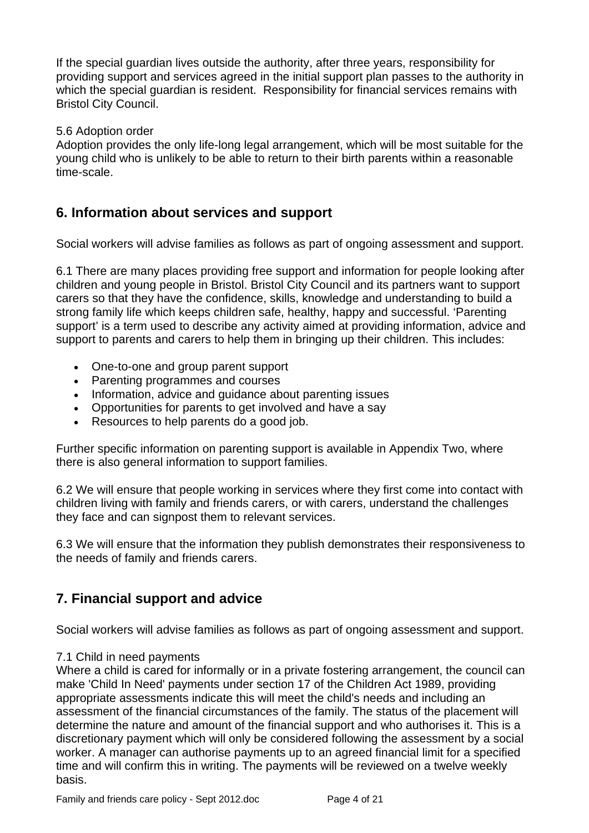If the special guardian lives outside the authority, after three years, responsibility for providing support and services agreed in the initial support plan passes to the authority in which the special guardian is resident. Responsibility for financial services remains with Bristol City Council.

#### 5.6 Adoption order

Adoption provides the only life-long legal arrangement, which will be most suitable for the young child who is unlikely to be able to return to their birth parents within a reasonable time-scale.

#### **6. Information about services and support**

Social workers will advise families as follows as part of ongoing assessment and support.

6.1 There are many places providing free support and information for people looking after children and young people in Bristol. Bristol City Council and its partners want to support carers so that they have the confidence, skills, knowledge and understanding to build a strong family life which keeps children safe, healthy, happy and successful. 'Parenting support' is a term used to describe any activity aimed at providing information, advice and support to parents and carers to help them in bringing up their children. This includes:

- One-to-one and group parent support
- Parenting programmes and courses
- Information, advice and quidance about parenting issues
- Opportunities for parents to get involved and have a say
- Resources to help parents do a good job.

Further specific information on parenting support is available in Appendix Two, where there is also general information to support families.

6.2 We will ensure that people working in services where they first come into contact with children living with family and friends carers, or with carers, understand the challenges they face and can signpost them to relevant services.

6.3 We will ensure that the information they publish demonstrates their responsiveness to the needs of family and friends carers.

### **7. Financial support and advice**

Social workers will advise families as follows as part of ongoing assessment and support.

#### 7.1 Child in need payments

Where a child is cared for informally or in a private fostering arrangement, the council can make 'Child In Need' payments under section 17 of the Children Act 1989, providing appropriate assessments indicate this will meet the child's needs and including an assessment of the financial circumstances of the family. The status of the placement will determine the nature and amount of the financial support and who authorises it. This is a discretionary payment which will only be considered following the assessment by a social worker. A manager can authorise payments up to an agreed financial limit for a specified time and will confirm this in writing. The payments will be reviewed on a twelve weekly basis.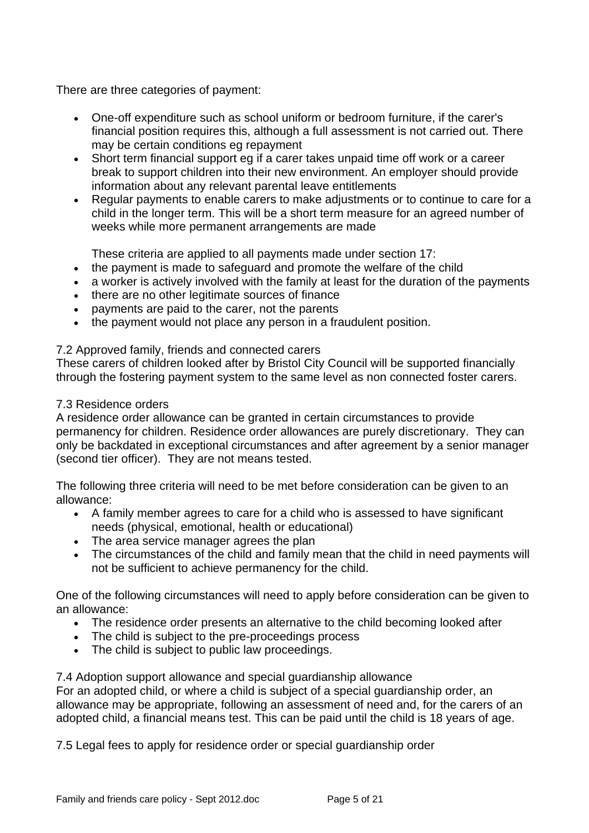There are three categories of payment:

- One-off expenditure such as school uniform or bedroom furniture, if the carer's financial position requires this, although a full assessment is not carried out. There may be certain conditions eg repayment
- Short term financial support eg if a carer takes unpaid time off work or a career break to support children into their new environment. An employer should provide information about any relevant parental leave entitlements
- Regular payments to enable carers to make adjustments or to continue to care for a child in the longer term. This will be a short term measure for an agreed number of weeks while more permanent arrangements are made

These criteria are applied to all payments made under section 17:

- the payment is made to safeguard and promote the welfare of the child
- a worker is actively involved with the family at least for the duration of the payments
- there are no other legitimate sources of finance
- payments are paid to the carer, not the parents
- the payment would not place any person in a fraudulent position.

#### 7.2 Approved family, friends and connected carers

These carers of children looked after by Bristol City Council will be supported financially through the fostering payment system to the same level as non connected foster carers.

#### 7.3 Residence orders

A residence order allowance can be granted in certain circumstances to provide permanency for children. Residence order allowances are purely discretionary. They can only be backdated in exceptional circumstances and after agreement by a senior manager (second tier officer). They are not means tested.

The following three criteria will need to be met before consideration can be given to an allowance:

- A family member agrees to care for a child who is assessed to have significant needs (physical, emotional, health or educational)
- The area service manager agrees the plan
- The circumstances of the child and family mean that the child in need payments will not be sufficient to achieve permanency for the child.

One of the following circumstances will need to apply before consideration can be given to an allowance:

- The residence order presents an alternative to the child becoming looked after
- The child is subject to the pre-proceedings process
- The child is subject to public law proceedings.

7.4 Adoption support allowance and special guardianship allowance For an adopted child, or where a child is subject of a special guardianship order, an allowance may be appropriate, following an assessment of need and, for the carers of an adopted child, a financial means test. This can be paid until the child is 18 years of age.

7.5 Legal fees to apply for residence order or special guardianship order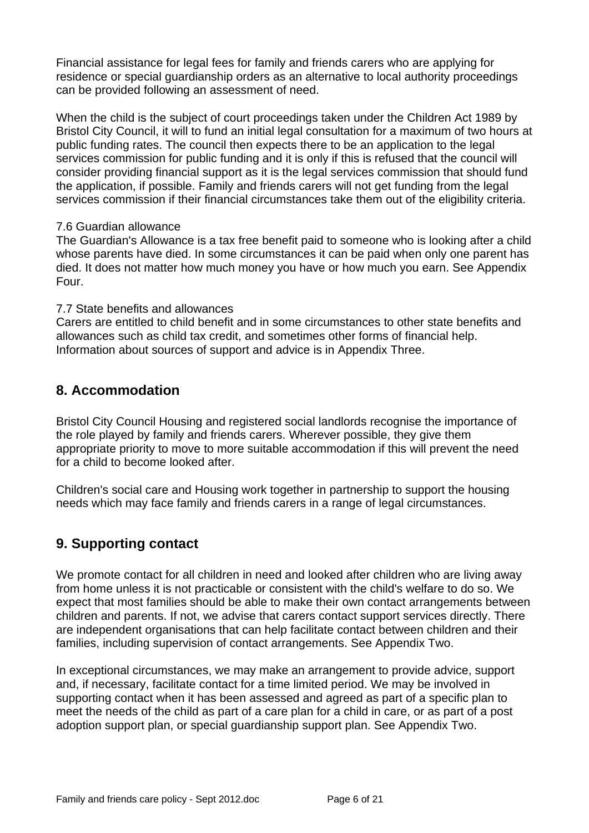Financial assistance for legal fees for family and friends carers who are applying for residence or special guardianship orders as an alternative to local authority proceedings can be provided following an assessment of need.

When the child is the subject of court proceedings taken under the Children Act 1989 by Bristol City Council, it will to fund an initial legal consultation for a maximum of two hours at public funding rates. The council then expects there to be an application to the legal services commission for public funding and it is only if this is refused that the council will consider providing financial support as it is the legal services commission that should fund the application, if possible. Family and friends carers will not get funding from the legal services commission if their financial circumstances take them out of the eligibility criteria.

#### 7.6 Guardian allowance

The Guardian's Allowance is a tax free benefit paid to someone who is looking after a child whose parents have died. In some circumstances it can be paid when only one parent has died. It does not matter how much money you have or how much you earn. See Appendix Four.

#### 7.7 State benefits and allowances

Carers are entitled to child benefit and in some circumstances to other state benefits and allowances such as child tax credit, and sometimes other forms of financial help. Information about sources of support and advice is in Appendix Three.

### **8. Accommodation**

Bristol City Council Housing and registered social landlords recognise the importance of the role played by family and friends carers. Wherever possible, they give them appropriate priority to move to more suitable accommodation if this will prevent the need for a child to become looked after.

Children's social care and Housing work together in partnership to support the housing needs which may face family and friends carers in a range of legal circumstances.

### **9. Supporting contact**

We promote contact for all children in need and looked after children who are living away from home unless it is not practicable or consistent with the child's welfare to do so. We expect that most families should be able to make their own contact arrangements between children and parents. If not, we advise that carers contact support services directly. There are independent organisations that can help facilitate contact between children and their families, including supervision of contact arrangements. See Appendix Two.

In exceptional circumstances, we may make an arrangement to provide advice, support and, if necessary, facilitate contact for a time limited period. We may be involved in supporting contact when it has been assessed and agreed as part of a specific plan to meet the needs of the child as part of a care plan for a child in care, or as part of a post adoption support plan, or special guardianship support plan. See Appendix Two.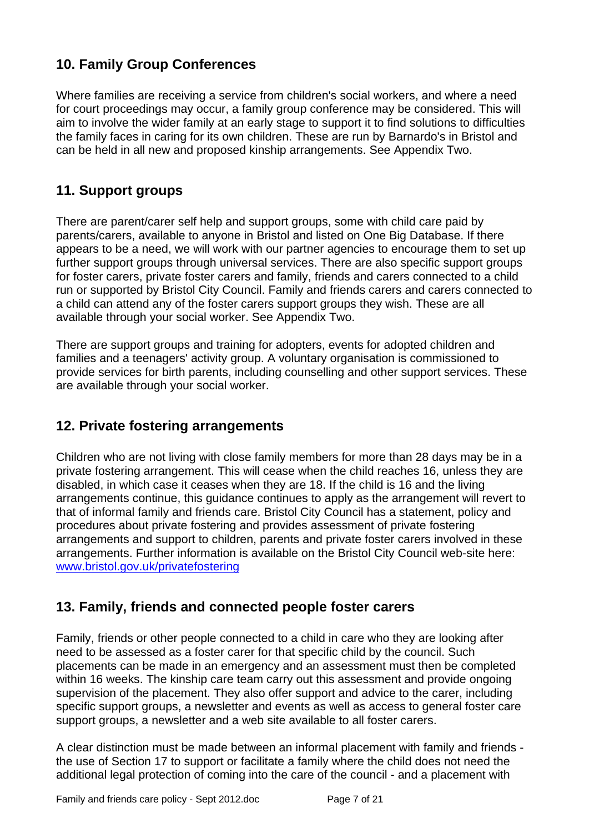## **10. Family Group Conferences**

Where families are receiving a service from children's social workers, and where a need for court proceedings may occur, a family group conference may be considered. This will aim to involve the wider family at an early stage to support it to find solutions to difficulties the family faces in caring for its own children. These are run by Barnardo's in Bristol and can be held in all new and proposed kinship arrangements. See Appendix Two.

## **11. Support groups**

There are parent/carer self help and support groups, some with child care paid by parents/carers, available to anyone in Bristol and listed on One Big Database. If there appears to be a need, we will work with our partner agencies to encourage them to set up further support groups through universal services. There are also specific support groups for foster carers, private foster carers and family, friends and carers connected to a child run or supported by Bristol City Council. Family and friends carers and carers connected to a child can attend any of the foster carers support groups they wish. These are all available through your social worker. See Appendix Two.

There are support groups and training for adopters, events for adopted children and families and a teenagers' activity group. A voluntary organisation is commissioned to provide services for birth parents, including counselling and other support services. These are available through your social worker.

### **12. Private fostering arrangements**

Children who are not living with close family members for more than 28 days may be in a private fostering arrangement. This will cease when the child reaches 16, unless they are disabled, in which case it ceases when they are 18. If the child is 16 and the living arrangements continue, this guidance continues to apply as the arrangement will revert to that of informal family and friends care. Bristol City Council has a statement, policy and procedures about private fostering and provides assessment of private fostering arrangements and support to children, parents and private foster carers involved in these arrangements. Further information is available on the Bristol City Council web-site here: [www.bristol.gov.uk/privatefostering](http://www.bristol.gov.uk/privatefostering)

### **13. Family, friends and connected people foster carers**

Family, friends or other people connected to a child in care who they are looking after need to be assessed as a foster carer for that specific child by the council. Such placements can be made in an emergency and an assessment must then be completed within 16 weeks. The kinship care team carry out this assessment and provide ongoing supervision of the placement. They also offer support and advice to the carer, including specific support groups, a newsletter and events as well as access to general foster care support groups, a newsletter and a web site available to all foster carers.

A clear distinction must be made between an informal placement with family and friends the use of Section 17 to support or facilitate a family where the child does not need the additional legal protection of coming into the care of the council - and a placement with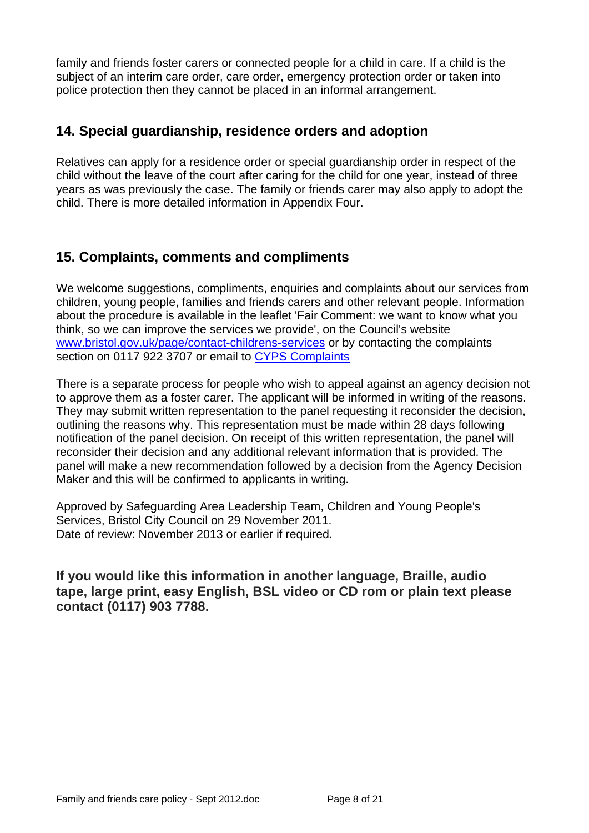family and friends foster carers or connected people for a child in care. If a child is the subject of an interim care order, care order, emergency protection order or taken into police protection then they cannot be placed in an informal arrangement.

#### **14. Special guardianship, residence orders and adoption**

Relatives can apply for a residence order or special guardianship order in respect of the child without the leave of the court after caring for the child for one year, instead of three years as was previously the case. The family or friends carer may also apply to adopt the child. There is more detailed information in Appendix Four.

### **15. Complaints, comments and compliments**

We welcome suggestions, compliments, enquiries and complaints about our services from children, young people, families and friends carers and other relevant people. Information about the procedure is available in the leaflet 'Fair Comment: we want to know what you think, so we can improve the services we provide', on the Council's website [www.bristol.gov.uk/page/contact-childrens-services](http://www.bristol.gov.uk/page/contact-childrens-services#jump-link-1) or by contacting the complaints section on 0117 922 3707 or email to [CYPS Complaints](mailto:CYPS Complaints)

There is a separate process for people who wish to appeal against an agency decision not to approve them as a foster carer. The applicant will be informed in writing of the reasons. They may submit written representation to the panel requesting it reconsider the decision, outlining the reasons why. This representation must be made within 28 days following notification of the panel decision. On receipt of this written representation, the panel will reconsider their decision and any additional relevant information that is provided. The panel will make a new recommendation followed by a decision from the Agency Decision Maker and this will be confirmed to applicants in writing.

Approved by Safeguarding Area Leadership Team, Children and Young People's Services, Bristol City Council on 29 November 2011. Date of review: November 2013 or earlier if required.

**If you would like this information in another language, Braille, audio tape, large print, easy English, BSL video or CD rom or plain text please contact (0117) 903 7788.**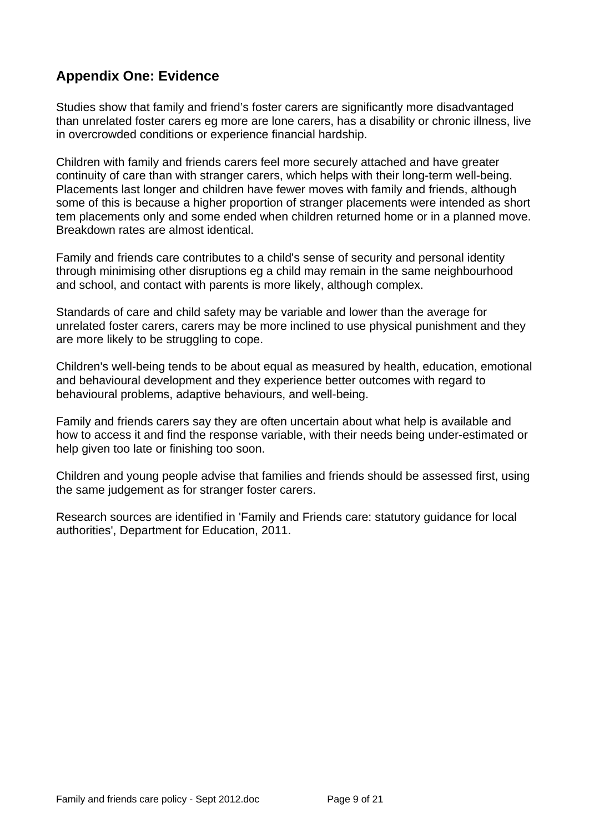## **Appendix One: Evidence**

Studies show that family and friend's foster carers are significantly more disadvantaged than unrelated foster carers eg more are lone carers, has a disability or chronic illness, live in overcrowded conditions or experience financial hardship.

Children with family and friends carers feel more securely attached and have greater continuity of care than with stranger carers, which helps with their long-term well-being. Placements last longer and children have fewer moves with family and friends, although some of this is because a higher proportion of stranger placements were intended as short tem placements only and some ended when children returned home or in a planned move. Breakdown rates are almost identical.

Family and friends care contributes to a child's sense of security and personal identity through minimising other disruptions eg a child may remain in the same neighbourhood and school, and contact with parents is more likely, although complex.

Standards of care and child safety may be variable and lower than the average for unrelated foster carers, carers may be more inclined to use physical punishment and they are more likely to be struggling to cope.

Children's well-being tends to be about equal as measured by health, education, emotional and behavioural development and they experience better outcomes with regard to behavioural problems, adaptive behaviours, and well-being.

Family and friends carers say they are often uncertain about what help is available and how to access it and find the response variable, with their needs being under-estimated or help given too late or finishing too soon.

Children and young people advise that families and friends should be assessed first, using the same judgement as for stranger foster carers.

Research sources are identified in 'Family and Friends care: statutory guidance for local authorities', Department for Education, 2011.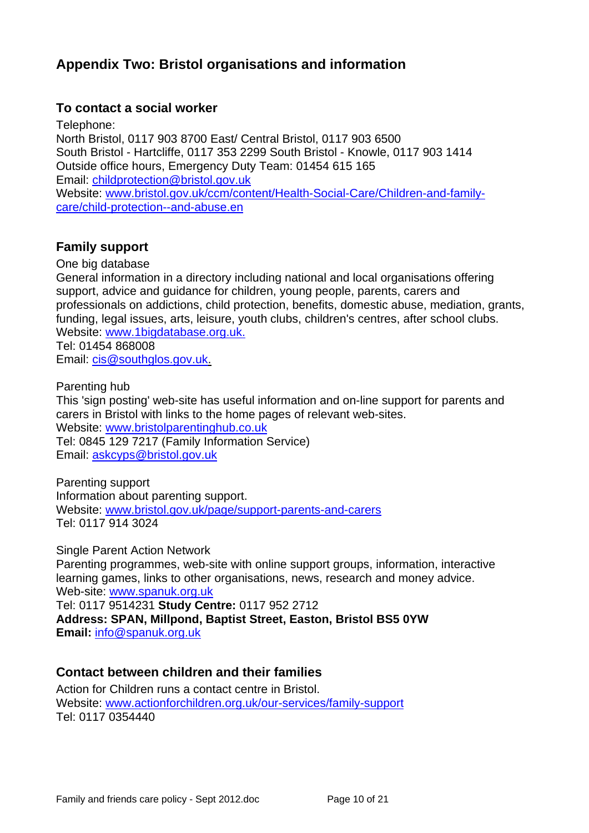## **Appendix Two: Bristol organisations and information**

#### **To contact a social worker**

Telephone: North Bristol, 0117 903 8700 East/ Central Bristol, 0117 903 6500 South Bristol - Hartcliffe, 0117 353 2299 South Bristol - Knowle, 0117 903 1414 Outside office hours, Emergency Duty Team: 01454 615 165 [Email: childprotection@bristol.gov.uk](mailto:childprotection@bristol.gov.uk) Website: [www.bristol.gov.uk/ccm/content/Health-Social-Care/Children-and-family](http://www.bristol.gov.uk/ccm/content/Health-Social-Care/Children-and-family-care/child-protection--and-abuse.en)[care/child-protection--and-abuse.en](http://www.bristol.gov.uk/ccm/content/Health-Social-Care/Children-and-family-care/child-protection--and-abuse.en)

#### **Family support**

One big database

General information in a directory including national and local organisations offering support, advice and guidance for children, young people, parents, carers and professionals on addictions, child protection, benefits, domestic abuse, mediation, grants, funding, legal issues, arts, leisure, youth clubs, children's centres, after school clubs. Website: [www.1bigdatabase.org.uk.](http://www.1bigdatabase.org.uk/) Tel: 01454 868008

Email: [cis@southglos.gov.uk.](mailto:cis@southglos.gov.uk) 

Parenting hub

This 'sign posting' web-site has useful information and on-line support for parents and carers in Bristol with links to the home pages of relevant web-sites. [Website: www.bristolparentinghub.co.uk](http://www.bristolparentinghub.co.uk/)

[Tel:](http://www.bristolparentinghub.co.uk/) 0845 129 7217 (Family Information Service) Email: [askcyps@bristol.gov.uk](mailto:askcyps@bristol.gov.uk)

Parenting support Information about parenting support. Website: [www.bristol.gov.uk/page/support-parents-and-carers](http://www.bristol.gov.uk/page/support-parents-and-carers) Tel: 0117 914 3024

Single Parent Action Network Parenting programmes, web-site with online support groups, information, interactive learning games, links to other organisations, news, research and money advice. [Web-site:](mailto:school.admissions@bristol.gov.uk) [www.spanuk.org.uk](http://www.spanuk.org.uk/) Tel: 0117 9514231 **Study Centre:** 0117 952 2712

**Address: SPAN, Millpond, Baptist Street, Easton, Bristol BS5 0YW [Email:](mailto:info@spanuk.org.uk)** [info@spanuk.org.uk](mailto:info@spanuk.org.uk)

#### **Contact between children and their families**

Action for Children runs a contact centre in Bristol. Website: [www.actionforchildren.org.uk/our-services/family-support](http://www.actionforchildren.org.uk/our-services/family-support) [Tel: 0117 0354440](http://www.actionforchildren.org.uk/our-services/family-support)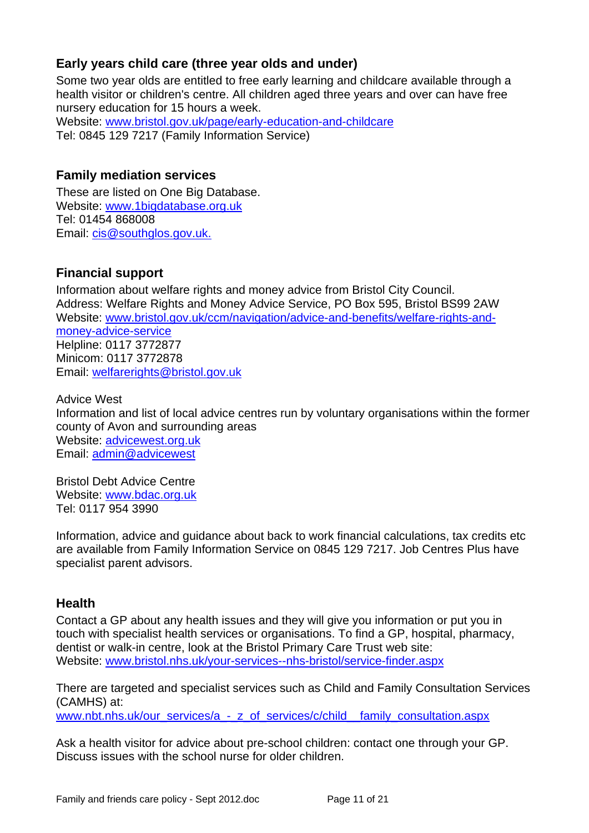#### **Early years child care (three year olds and under)**

Some two year olds are entitled to free early learning and childcare available through a health visitor or children's centre. All children aged three years and over can have free nursery education for 15 hours a week.

Website: [www.bristol.gov.uk/page/early-education-and-childcare](http://www.bristol.gov.uk/page/early-education-and-childcare) Tel: 0845 129 7217 (Family Information Service)

#### **Family mediation services**

These are listed on One Big Database. Website: [www.1bigdatabase.org.uk](http://www.1bigdatabase.org.uk/) Tel: 01454 868008 Email: [cis@southglos.gov.uk.](mailto:cis@southglos.gov.uk)

### **Financial support**

Information about welfare rights and money advice from Bristol City Council. Address: Welfare Rights and Money Advice Service, PO Box 595, Bristol BS99 2AW Website: [www.bristol.gov.uk/ccm/navigation/advice-and-benefits/welfare-rights-and](http://www.bristol.gov.uk/ccm/navigation/advice-and-benefits/welfare-rights-and-money-advice-service/)[money-advice-service](http://www.bristol.gov.uk/ccm/navigation/advice-and-benefits/welfare-rights-and-money-advice-service/) Helpline: 0117 3772877 Minicom: 0117 3772878 Email: [welfarerights@bristol.gov.uk](mailto:welfarerights@bristol.gov.uk)

Advice West Information and list of local advice centres run by voluntary organisations within the former county of Avon and surrounding areas Website: [advicewest.org.uk](http://advicewest.org.uk/) Email: [admin@advicewest](mailto:admin@advicewest.org.uk)

Bristol Debt Advice Centre Website: [www.bdac.org.uk](http://www.bdac.org.uk/) Tel: 0117 954 3990

Information, advice and guidance about back to work financial calculations, tax credits etc are available from Family Information Service on 0845 129 7217. Job Centres Plus have specialist parent advisors.

#### **Health**

Contact a GP about any health issues and they will give you information or put you in touch with specialist health services or organisations. To find a GP, hospital, pharmacy, dentist or walk-in centre, look at the Bristol Primary Care Trust web site: [Website: www.bristol.nhs.uk/your-services--nhs-bristol/service-finder.aspx](http://www.bristol.nhs.uk/your-services--nhs-bristol/service-finder.aspx)

There are targeted and specialist services such as Child and Family Consultation Services (CAMHS) at:

[www.nbt.nhs.uk/our\\_services/a\\_-\\_z\\_of\\_services/c/child\\_\\_family\\_consultation.aspx](http://www.nbt.nhs.uk/our_services/a_-_z_of_services/c/child__family_consultation.aspx)

Ask a health visitor for advice about pre-school children: contact one through your GP. Discuss issues with the school nurse for older children.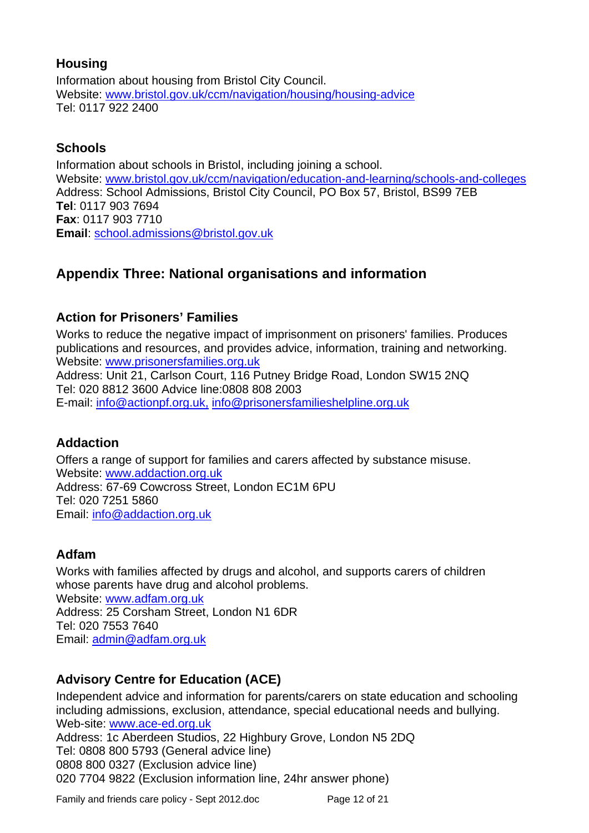#### **Housing**

Information about housing from Bristol City Council. [Website: www.bristol.gov.uk/ccm/navigation/housing/housing-advice](http://www.bristol.gov.uk/ccm/navigation/housing/housing-advice/) [Tel: 0117 922 2400](http://www.bristol.gov.uk/ccm/navigation/housing/housing-advice/)

#### **Schools**

Information about schools in Bristol, including joining a school. [Website: www.bristol.gov.uk/ccm/navigation/education-and-learning/schools-and-colleges](http://www.bristol.gov.uk/ccm/navigation/education-and-learning/schools-and-colleges/) Address: School Admissions, Bristol City Council, PO Box 57, Bristol, BS99 7EB **Tel**: 0117 903 7694 **Fax**: 0117 903 7710 **Email**: [school.admissions@bristol.gov.uk](mailto:school.admissions@bristol.gov.uk)

## **Appendix Three: National organisations and information**

### **Action for Prisoners' Families**

Works to reduce the negative impact of imprisonment on prisoners' families. Produces publications and resources, and provides advice, information, training and networking. [Website: www.prisonersfamilies.org.uk](http://www.prisonersfamilies.org.uk/)

Address: Unit 21, Carlson Court, 116 Putney Bridge Road, London SW15 2NQ Tel: 020 8812 3600 Advice line:0808 808 2003 E-mail: [info@actionpf.org.uk,](mailto:info@actionpf.org.uk) [info@prisonersfamilieshelpline.org.uk](mailto:info@prisonersfamilieshelpline.org.uk)

### **Addaction**

Offers a range of support for families and carers affected by substance misuse. [Website: www.addaction.org.uk](http://www.addaction.org.uk/) Address: 67-69 Cowcross Street, London EC1M 6PU Tel: 020 7251 5860 Email: [info@addaction.org.uk](mailto:info@addaction.org.uk)

### **Adfam**

Works with families affected by drugs and alcohol, and supports carers of children whose parents have drug and alcohol problems. [Website: www.adfam.org.uk](http://www.adfam.org.uk/) Address: 25 Corsham Street, London N1 6DR Tel: 020 7553 7640 Email: [admin@adfam.org.uk](mailto:admin@adfam.org.uk)

### **Advisory Centre for Education (ACE)**

Independent advice and information for parents/carers on state education and schooling including admissions, exclusion, attendance, special educational needs and bullying. [Web-site: www.ace-ed.org.uk](mailto:admin@adfam.org.uk) Address: 1c Aberdeen Studios, 22 Highbury Grove, London N5 2DQ

Tel: 0808 800 5793 (General advice line) 0808 800 0327 (Exclusion advice line) 020 7704 9822 (Exclusion information line, 24hr answer phone)

Family and friends care policy - Sept 2012.doc Page 12 of 21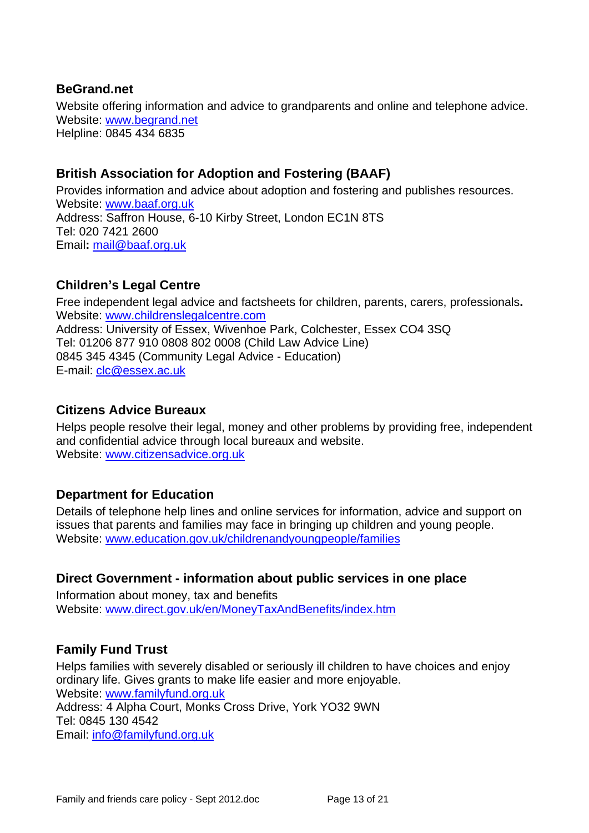#### **BeGrand.net**

Website offering information and advice to grandparents and online and telephone advice. [Website: www.begrand.net](http://www.begrand.net/) Helpline: 0845 434 6835

#### **British Association for Adoption and Fostering (BAAF)**

Provides information and advice about adoption and fostering and publishes resources. [Website: www.baaf.org.uk](http://www.baaf.org.uk/) Address: Saffron House, 6-10 Kirby Street, London EC1N 8TS Tel: 020 7421 2600 Email**:** [mail@baaf.org.uk](mailto:mail@baaf.org.uk)

#### **Children's Legal Centre**

Free independent legal advice and factsheets for children, parents, carers, professionals**.** [Website: www.childrenslegalcentre.com](http://www.childrenslegalcentre.com/) Address: University of Essex, Wivenhoe Park, Colchester, Essex CO4 3SQ Tel: 01206 877 910 0808 802 0008 (Child Law Advice Line) 0845 345 4345 (Community Legal Advice - Education) E-mail: [clc@essex.ac.uk](mailto:clc@essex.ac.uk)

#### **Citizens Advice Bureaux**

Helps people resolve their legal, money and other problems by providing free, independent and confidential advice through local bureaux and website. [Website: www.citizensadvice.org.uk](http://www.citizensadvice.org.uk/)

#### **Department for Education**

Details of telephone help lines and online services for information, advice and support on issues that parents and families may face in bringing up children and young people. [Website: www.education.gov.uk/childrenandyoungpeople/families](http://www.education.gov.uk/childrenandyoungpeople/families)

#### **Direct Government - information about public services in one place**

Information about money, tax and benefits [Website: www.direct.gov.uk/en/MoneyTaxAndBenefits/index.htm](http://www.direct.gov.uk/en/MoneyTaxAndBenefits/index.htm)

### **Family Fund Trust**

Helps families with severely disabled or seriously ill children to have choices and enjoy ordinary life. Gives grants to make life easier and more enjoyable. Website: [www.familyfund.org.uk](http://www.familyfund.org.uk/) Address: 4 Alpha Court, Monks Cross Drive, York YO32 9WN Tel: 0845 130 4542 Email: [info@familyfund.org.uk](mailto:info@familyfund.org.uk)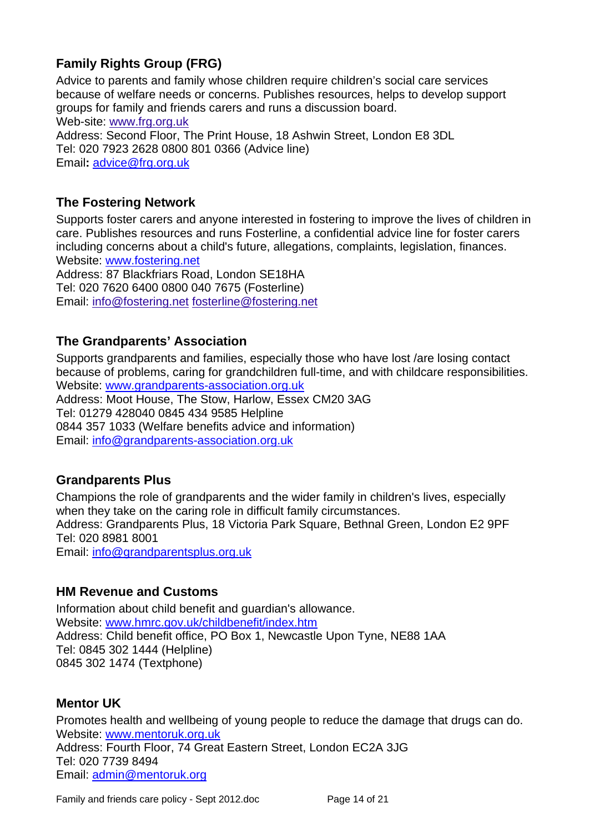## **Family Rights Group (FRG)**

Advice to parents and family whose children require children's social care services because of welfare needs or concerns. Publishes resources, helps to develop support groups for family and friends carers and runs a discussion board. Web-site: www.frg.org.uk Address: Second Floor, The Print House, 18 Ashwin Street, London E8 3DL Tel: 020 7923 2628 0800 801 0366 (Advice line) Email**:** [advice@frg.org.uk](mailto:advice@frg.org.uk)

#### **The Fostering Network**

Supports foster carers and anyone interested in fostering to improve the lives of children in care. Publishes resources and runs Fosterline, a confidential advice line for foster carers including concerns about a child's future, allegations, complaints, legislation, finances. [Website: www.fostering.net](http://www.fostering.net/)

Address: 87 Blackfriars Road, London SE18HA Tel: 020 7620 6400 0800 040 7675 (Fosterline) Email: info@fostering.net fosterline@fostering.net

#### **The Grandparents' Association**

Supports grandparents and families, especially those who have lost /are losing contact because of problems, caring for grandchildren full-time, and with childcare responsibilities. [Website: www.grandparents-association.org.uk](http://www.grandparents-association.org.uk/) Address: Moot House, The Stow, Harlow, Essex CM20 3AG Tel: 01279 428040 0845 434 9585 Helpline 0844 357 1033 (Welfare benefits advice and information) Email: [info@grandparents-association.org.uk](mailto:info@grandparents-association.org.uk)

#### **Grandparents Plus**

Champions the role of grandparents and the wider family in children's lives, especially when they take on the caring role in difficult family circumstances. Address: Grandparents Plus, 18 Victoria Park Square, Bethnal Green, London E2 9PF Tel: 020 8981 8001 Email: [info@grandparentsplus.org.uk](mailto:info@grandparentsplus.org.uk)

#### **HM Revenue and Customs**

Information about child benefit and guardian's allowance. [Website: www.hmrc.gov.uk/childbenefit/index.htm](http://www.hmrc.gov.uk/childbenefit/index.htm) Address: Child benefit office, PO Box 1, Newcastle Upon Tyne, NE88 1AA Tel: 0845 302 1444 (Helpline) 0845 302 1474 (Textphone)

#### **Mentor UK**

Promotes health and wellbeing of young people to reduce the damage that drugs can do. [Website: www.mentoruk.org.uk](http://www.mentoruk.org.uk/) Address: Fourth Floor, 74 Great Eastern Street, London EC2A 3JG Tel: 020 7739 8494 Email: [admin@mentoruk.org](mailto:admin@mentoruk.org)

Family and friends care policy - Sept 2012.doc Page 14 of 21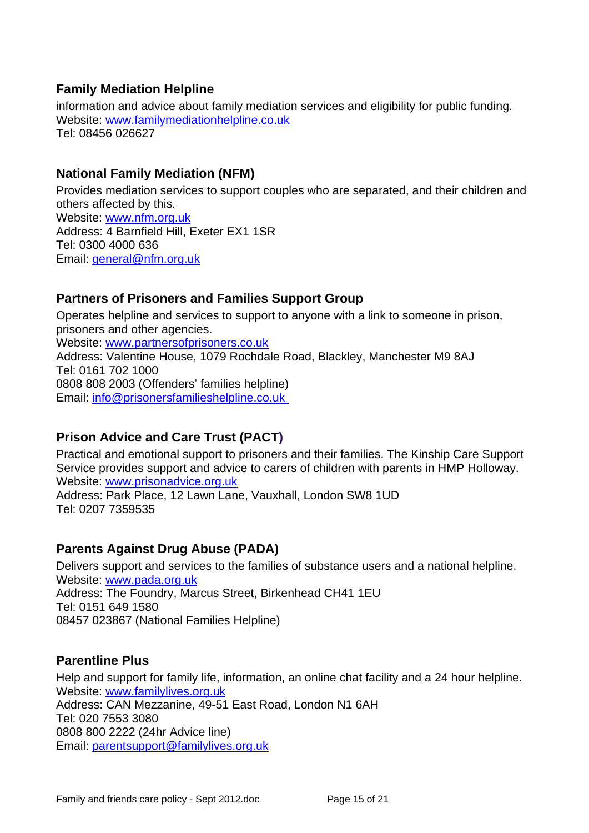#### **Family Mediation Helpline**

information and advice about family mediation services and eligibility for public funding. Website: [www.familymediationhelpline.co.uk](http://www.familymediationhelpline.co.uk/) Tel: 08456 026627

#### **National Family Mediation (NFM)**

Provides mediation services to support couples who are separated, and their children and others affected by this. [Website: www.nfm.org.uk](http://www.nfm.org.uk/) Address: 4 Barnfield Hill, Exeter EX1 1SR Tel: 0300 4000 636 [Email: general@nfm.org.uk](mailto:general@nfm.org.uk)

### **Partners of Prisoners and Families Support Group**

Operates helpline and services to support to anyone with a link to someone in prison, prisoners and other agencies. [Website: www.partnersofprisoners.co.uk](http://www.partnersofprisoners.co.uk/) Address: Valentine House, 1079 Rochdale Road, Blackley, Manchester M9 8AJ Tel: 0161 702 1000 0808 808 2003 (Offenders' families helpline) Email: info@prisonersfamilieshelpline.co.uk

### **Prison Advice and Care Trust (PACT)**

Practical and emotional support to prisoners and their families. The Kinship Care Support Service provides support and advice to carers of children with parents in HMP Holloway. [Website: www.prisonadvice.org.uk](http://www.prisonadvice.org.uk/)

Address: Park Place, 12 Lawn Lane, Vauxhall, London SW8 1UD Tel: 0207 7359535

### **Parents Against Drug Abuse (PADA)**

Delivers support and services to the families of substance users and a national helpline. [Website: www.pada.org.uk](http://www.pada.org.uk/) Address: The Foundry, Marcus Street, Birkenhead CH41 1EU Tel: 0151 649 1580 08457 023867 (National Families Helpline)

#### **Parentline Plus**

Help and support for family life, information, an online chat facility and a 24 hour helpline. [Website: www.familylives.org.uk](http://www.familylives.org.uk/) Address: CAN Mezzanine, 49-51 East Road, London N1 6AH Tel: 020 7553 3080 0808 800 2222 (24hr Advice line) Email: [parentsupport@familylives.org.uk](mailto:parentsupport@familylives.org.uk)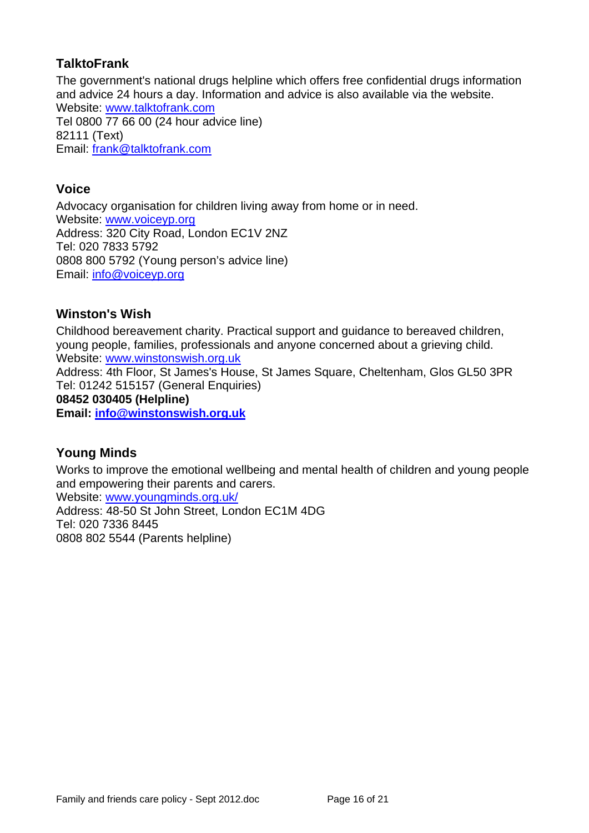#### **TalktoFrank**

The government's national drugs helpline which offers free confidential drugs information and advice 24 hours a day. Information and advice is also available via the website. [Website: www.talktofrank.com](http://www.talktofrank.com/) Tel 0800 77 66 00 (24 hour advice line) 82111 (Text) Email: [frank@talktofrank.com](mailto:frank@talktofrank.com)

#### **Voice**

Advocacy organisation for children living away from home or in need. [Website: www.voiceyp.org](http://www.voiceyp.org/) Address: 320 City Road, London EC1V 2NZ Tel: 020 7833 5792 0808 800 5792 (Young person's advice line) Email: [info@voiceyp.org](mailto:info@voiceyp.org)

#### **Winston's Wish**

Childhood bereavement charity. Practical support and guidance to bereaved children, young people, families, professionals and anyone concerned about a grieving child. Website: [www.winstonswish.org.uk](http://www.winstonswish.org.uk/) Address: 4th Floor, St James's House, St James Square, Cheltenham, Glos GL50 3PR Tel: 01242 515157 (General Enquiries) **08452 030405 (Helpline) Email: [info@winstonswish.org.uk](mailto:info@winstonswish.org.uk)**

### **Young Minds**

Works to improve the emotional wellbeing and mental health of children and young people and empowering their parents and carers.

[Website: www.youngminds.org.uk/](http://www.youngminds.org.uk/) Address: 48-50 St John Street, London EC1M 4DG Tel: 020 7336 8445 0808 802 5544 (Parents helpline)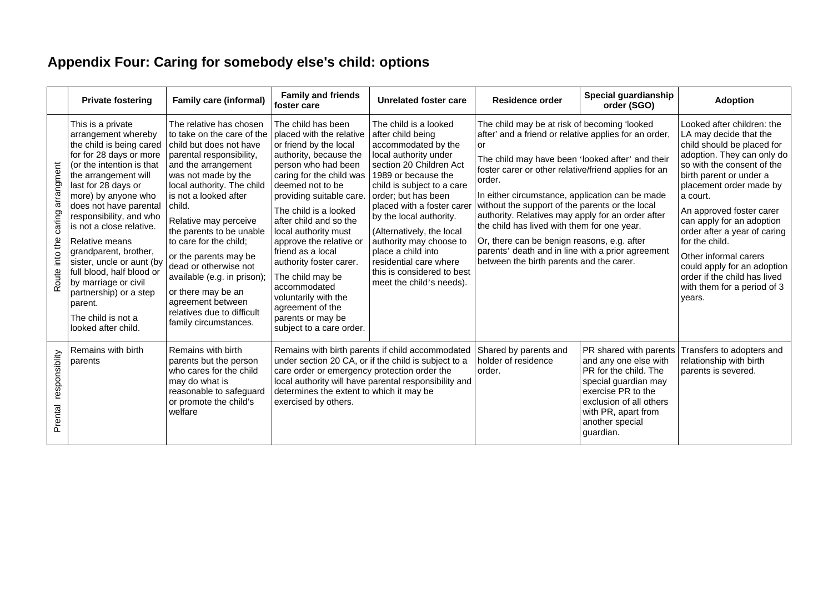# **Appendix Four: Caring for somebody else's child: options**

|                                              | <b>Private fostering</b>                                                                                                                                                                                                                                                                                                                                                                                                                                                                           | <b>Family care (informal)</b>                                                                                                                                                                                                                                                                                                                                                                                                                                                                 | <b>Family and friends</b><br>foster care                                                                                                                                                                                                                                                                                                                                                                                                                                                     | Unrelated foster care                                                                                                                                                                                                                                                                                                                                                                                                        | Residence order                                                                                                                                                                                                                                                                                                                                                                                                                                                                                                                                                                             | Special guardianship<br>order (SGO)                                                                                                                                                                      | <b>Adoption</b>                                                                                                                                                                                                                                                                                                                                                                                                                                              |
|----------------------------------------------|----------------------------------------------------------------------------------------------------------------------------------------------------------------------------------------------------------------------------------------------------------------------------------------------------------------------------------------------------------------------------------------------------------------------------------------------------------------------------------------------------|-----------------------------------------------------------------------------------------------------------------------------------------------------------------------------------------------------------------------------------------------------------------------------------------------------------------------------------------------------------------------------------------------------------------------------------------------------------------------------------------------|----------------------------------------------------------------------------------------------------------------------------------------------------------------------------------------------------------------------------------------------------------------------------------------------------------------------------------------------------------------------------------------------------------------------------------------------------------------------------------------------|------------------------------------------------------------------------------------------------------------------------------------------------------------------------------------------------------------------------------------------------------------------------------------------------------------------------------------------------------------------------------------------------------------------------------|---------------------------------------------------------------------------------------------------------------------------------------------------------------------------------------------------------------------------------------------------------------------------------------------------------------------------------------------------------------------------------------------------------------------------------------------------------------------------------------------------------------------------------------------------------------------------------------------|----------------------------------------------------------------------------------------------------------------------------------------------------------------------------------------------------------|--------------------------------------------------------------------------------------------------------------------------------------------------------------------------------------------------------------------------------------------------------------------------------------------------------------------------------------------------------------------------------------------------------------------------------------------------------------|
| arrangment<br>caring<br>the<br>lnto<br>Route | This is a private<br>arrangement whereby<br>the child is being cared<br>for for 28 days or more<br>(or the intention is that<br>the arrangement will<br>last for 28 days or<br>more) by anyone who<br>does not have parental<br>responsibility, and who<br>is not a close relative.<br>Relative means<br>grandparent, brother,<br>sister, uncle or aunt (by<br>full blood, half blood or<br>by marriage or civil<br>partnership) or a step<br>parent.<br>The child is not a<br>looked after child. | The relative has chosen<br>to take on the care of the<br>child but does not have<br>parental responsibility,<br>and the arrangement<br>was not made by the<br>local authority. The child<br>is not a looked after<br>child.<br>Relative may perceive<br>the parents to be unable<br>to care for the child;<br>or the parents may be<br>dead or otherwise not<br>available (e.g. in prison);<br>or there may be an<br>agreement between<br>relatives due to difficult<br>family circumstances. | The child has been<br>placed with the relative<br>or friend by the local<br>authority, because the<br>person who had been<br>caring for the child was<br>deemed not to be<br>providing suitable care.<br>The child is a looked<br>after child and so the<br>local authority must<br>approve the relative or<br>friend as a local<br>authority foster carer.<br>The child may be<br>accommodated<br>voluntarily with the<br>agreement of the<br>parents or may be<br>subject to a care order. | The child is a looked<br>after child being<br>accommodated by the<br>local authority under<br>section 20 Children Act<br>1989 or because the<br>child is subject to a care<br>order; but has been<br>placed with a foster carer<br>by the local authority.<br>(Alternatively, the local<br>authority may choose to<br>place a child into<br>residential care where<br>this is considered to best<br>meet the child's needs). | The child may be at risk of becoming 'looked<br>after' and a friend or relative applies for an order,<br>or<br>The child may have been 'looked after' and their<br>foster carer or other relative/friend applies for an<br>order.<br>In either circumstance, application can be made<br>without the support of the parents or the local<br>authority. Relatives may apply for an order after<br>the child has lived with them for one year.<br>Or, there can be benign reasons, e.g. after<br>parents' death and in line with a prior agreement<br>between the birth parents and the carer. |                                                                                                                                                                                                          | Looked after children: the<br>LA may decide that the<br>child should be placed for<br>adoption. They can only do<br>so with the consent of the<br>birth parent or under a<br>placement order made by<br>a court.<br>An approved foster carer<br>can apply for an adoption<br>order after a year of caring<br>for the child.<br>Other informal carers<br>could apply for an adoption<br>order if the child has lived<br>with them for a period of 3<br>years. |
| responsiblity<br>Prental                     | Remains with birth<br>parents                                                                                                                                                                                                                                                                                                                                                                                                                                                                      | Remains with birth<br>parents but the person<br>who cares for the child<br>may do what is<br>reasonable to safeguard<br>or promote the child's<br>welfare                                                                                                                                                                                                                                                                                                                                     | care order or emergency protection order the<br>determines the extent to which it may be<br>exercised by others.                                                                                                                                                                                                                                                                                                                                                                             | Remains with birth parents if child accommodated<br>under section 20 CA, or if the child is subject to a<br>local authority will have parental responsibility and                                                                                                                                                                                                                                                            | Shared by parents and<br>holder of residence<br>order.                                                                                                                                                                                                                                                                                                                                                                                                                                                                                                                                      | PR shared with parents<br>and any one else with<br>PR for the child. The<br>special guardian may<br>exercise PR to the<br>exclusion of all others<br>with PR, apart from<br>another special<br>quardian. | Transfers to adopters and<br>relationship with birth<br>parents is severed.                                                                                                                                                                                                                                                                                                                                                                                  |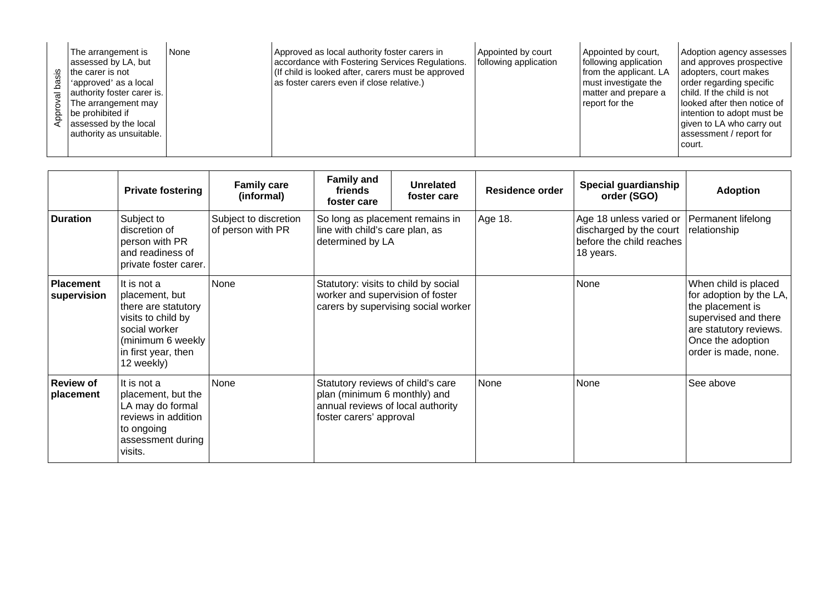| None<br>The arrangement is<br>assessed by LA, but<br>the carer is not<br>'approved' as a local<br>authority foster carer is.<br>The arrangement may<br>be prohibited if<br>assessed by the local<br>authority as unsuitable. | Approved as local authority foster carers in<br>accordance with Fostering Services Regulations.<br>(If child is looked after, carers must be approved<br>as foster carers even if close relative.) | Appointed by court<br>following application | Appointed by court,<br>following application<br>from the applicant. LA<br>must investigate the<br>matter and prepare a<br>report for the | Adoption agency assesses<br>and approves prospective<br>adopters, court makes<br>order regarding specific<br>child. If the child is not<br>looked after then notice of<br>intention to adopt must be<br>given to LA who carry out<br>assessment / report for<br>court. |
|------------------------------------------------------------------------------------------------------------------------------------------------------------------------------------------------------------------------------|----------------------------------------------------------------------------------------------------------------------------------------------------------------------------------------------------|---------------------------------------------|------------------------------------------------------------------------------------------------------------------------------------------|------------------------------------------------------------------------------------------------------------------------------------------------------------------------------------------------------------------------------------------------------------------------|
|------------------------------------------------------------------------------------------------------------------------------------------------------------------------------------------------------------------------------|----------------------------------------------------------------------------------------------------------------------------------------------------------------------------------------------------|---------------------------------------------|------------------------------------------------------------------------------------------------------------------------------------------|------------------------------------------------------------------------------------------------------------------------------------------------------------------------------------------------------------------------------------------------------------------------|

|                                 | <b>Private fostering</b>                                                                                                                              | <b>Family care</b><br>(informal)           | <b>Family and</b><br>friends<br>foster care                                                                                       | Unrelated<br>foster care            | <b>Residence order</b> | Special guardianship<br>order (SGO)                                                         | <b>Adoption</b>                                                                                                                                                    |
|---------------------------------|-------------------------------------------------------------------------------------------------------------------------------------------------------|--------------------------------------------|-----------------------------------------------------------------------------------------------------------------------------------|-------------------------------------|------------------------|---------------------------------------------------------------------------------------------|--------------------------------------------------------------------------------------------------------------------------------------------------------------------|
| <b>Duration</b>                 | Subject to<br>discretion of<br>person with PR<br>and readiness of<br>private foster carer.                                                            | Subject to discretion<br>of person with PR | So long as placement remains in<br>line with child's care plan, as<br>determined by LA                                            |                                     | Age 18.                | Age 18 unless varied or<br>discharged by the court<br>before the child reaches<br>18 years. | Permanent lifelong<br>relationship                                                                                                                                 |
| <b>Placement</b><br>supervision | It is not a<br>placement, but<br>there are statutory<br>visits to child by<br>social worker<br>(minimum 6 weekly<br>in first year, then<br>12 weekly) | None                                       | Statutory: visits to child by social<br>worker and supervision of foster                                                          | carers by supervising social worker |                        | None                                                                                        | When child is placed<br>for adoption by the LA,<br>the placement is<br>supervised and there<br>are statutory reviews.<br>Once the adoption<br>order is made, none. |
| <b>Review of</b><br>placement   | It is not a<br>placement, but the<br>LA may do formal<br>reviews in addition<br>to ongoing<br>assessment during<br>visits.                            | None                                       | Statutory reviews of child's care<br>plan (minimum 6 monthly) and<br>annual reviews of local authority<br>foster carers' approval |                                     | None                   | None                                                                                        | See above                                                                                                                                                          |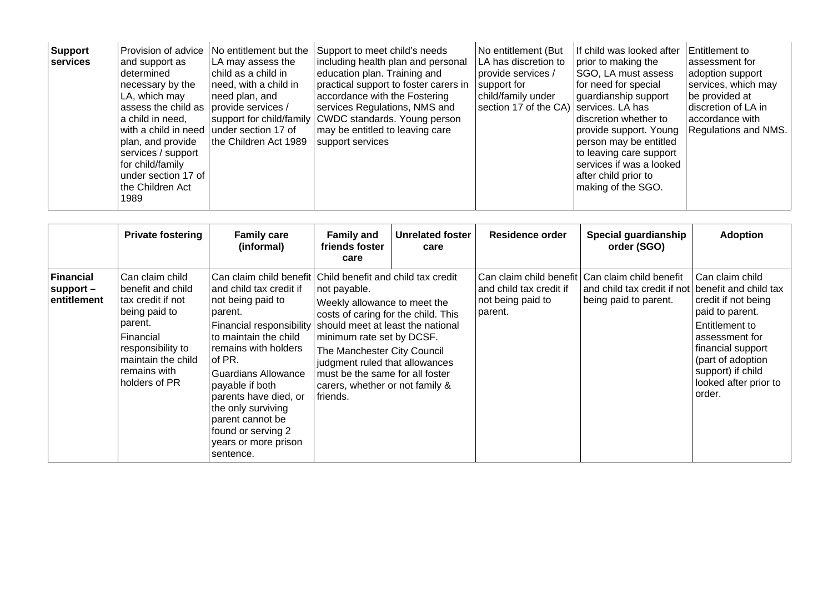| <b>Support</b><br>services | Provision of advice<br>and support as<br>determined<br>necessary by the<br>LA, which may<br>assess the child as<br>a child in need,<br>with a child in need<br>plan, and provide<br>services / support<br>for child/family<br>under section 17 of<br>the Children Act<br>1989 | No entitlement but the<br>LA may assess the<br>child as a child in<br>need, with a child in<br>need plan, and<br>provide services /<br>under section 17 of<br>the Children Act 1989 | Support to meet child's needs<br>including health plan and personal<br>education plan. Training and<br>practical support to foster carers in<br>accordance with the Fostering<br>services Regulations, NMS and<br>support for child/family CWDC standards. Young person<br>may be entitled to leaving care<br>support services | No entitlement (But<br>LA has discretion to<br>provide services /<br>support for<br>child/family under<br>section 17 of the CA) services. LA has | If child was looked after<br>prior to making the<br>SGO, LA must assess<br>for need for special<br>guardianship support<br>discretion whether to<br>provide support. Young<br>person may be entitled<br>to leaving care support<br>services if was a looked<br>after child prior to<br>making of the SGO. | Entitlement to<br>assessment for<br>adoption support<br>services, which may<br>be provided at<br>discretion of LA in<br>accordance with<br>Regulations and NMS. |
|----------------------------|-------------------------------------------------------------------------------------------------------------------------------------------------------------------------------------------------------------------------------------------------------------------------------|-------------------------------------------------------------------------------------------------------------------------------------------------------------------------------------|--------------------------------------------------------------------------------------------------------------------------------------------------------------------------------------------------------------------------------------------------------------------------------------------------------------------------------|--------------------------------------------------------------------------------------------------------------------------------------------------|-----------------------------------------------------------------------------------------------------------------------------------------------------------------------------------------------------------------------------------------------------------------------------------------------------------|-----------------------------------------------------------------------------------------------------------------------------------------------------------------|
|----------------------------|-------------------------------------------------------------------------------------------------------------------------------------------------------------------------------------------------------------------------------------------------------------------------------|-------------------------------------------------------------------------------------------------------------------------------------------------------------------------------------|--------------------------------------------------------------------------------------------------------------------------------------------------------------------------------------------------------------------------------------------------------------------------------------------------------------------------------|--------------------------------------------------------------------------------------------------------------------------------------------------|-----------------------------------------------------------------------------------------------------------------------------------------------------------------------------------------------------------------------------------------------------------------------------------------------------------|-----------------------------------------------------------------------------------------------------------------------------------------------------------------|

|                                                | <b>Private fostering</b>                                                                                                                                                       | <b>Family care</b><br>(informal)                                                                                                                                                                                                                                                                                                                                                                                              | <b>Family and</b><br>friends foster<br>care                                                                                                                                                                                                                         | <b>Unrelated foster</b><br>care | Residence order                                         | Special guardianship<br>order (SGO)                                                                     | <b>Adoption</b>                                                                                                                                                                                                          |
|------------------------------------------------|--------------------------------------------------------------------------------------------------------------------------------------------------------------------------------|-------------------------------------------------------------------------------------------------------------------------------------------------------------------------------------------------------------------------------------------------------------------------------------------------------------------------------------------------------------------------------------------------------------------------------|---------------------------------------------------------------------------------------------------------------------------------------------------------------------------------------------------------------------------------------------------------------------|---------------------------------|---------------------------------------------------------|---------------------------------------------------------------------------------------------------------|--------------------------------------------------------------------------------------------------------------------------------------------------------------------------------------------------------------------------|
| <b>Financial</b><br>$support -$<br>entitlement | Can claim child<br>benefit and child<br>tax credit if not<br>being paid to<br>parent.<br>Financial<br>responsibility to<br>maintain the child<br>remains with<br>holders of PR | Can claim child benefit Child benefit and child tax credit<br>and child tax credit if<br>not being paid to<br>parent.<br>Financial responsibility should meet at least the national<br>to maintain the child<br>remains with holders<br>of PR.<br><b>Guardians Allowance</b><br>payable if both<br>parents have died, or<br>the only surviving<br>parent cannot be<br>found or serving 2<br>years or more prison<br>sentence. | not payable.<br>Weekly allowance to meet the<br>costs of caring for the child. This<br>minimum rate set by DCSF.<br>The Manchester City Council<br>judgment ruled that allowances<br>must be the same for all foster<br>carers, whether or not family &<br>friends. |                                 | and child tax credit if<br>not being paid to<br>parent. | Can claim child benefit Can claim child benefit<br>and child tax credit if not<br>being paid to parent. | Can claim child<br>benefit and child tax<br>credit if not being<br>paid to parent.<br>Entitlement to<br>assessment for<br>financial support<br>(part of adoption<br>support) if child<br>looked after prior to<br>order. |